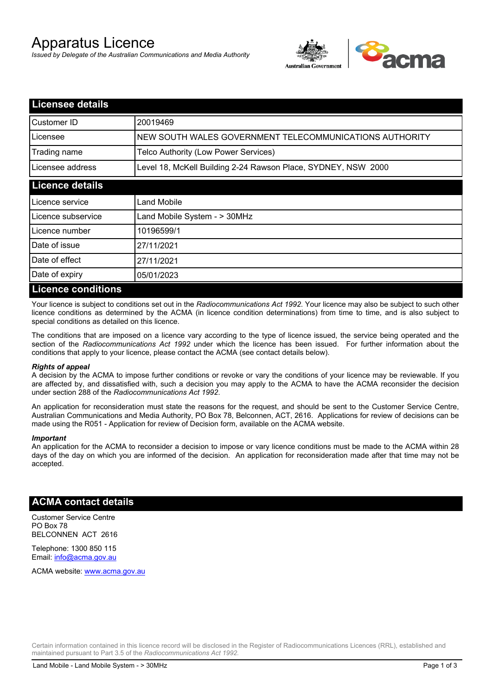# Apparatus Licence

*Issued by Delegate of the Australian Communications and Media Authority*



| <b>Licensee details</b>   |                                                               |
|---------------------------|---------------------------------------------------------------|
| Customer ID               | 20019469                                                      |
| Licensee                  | NEW SOUTH WALES GOVERNMENT TELECOMMUNICATIONS AUTHORITY       |
| Trading name              | Telco Authority (Low Power Services)                          |
| Licensee address          | Level 18, McKell Building 2-24 Rawson Place, SYDNEY, NSW 2000 |
| <b>Licence details</b>    |                                                               |
| l Licence service         | Land Mobile                                                   |
| Licence subservice        | Land Mobile System - > 30MHz                                  |
| Licence number            | 10196599/1                                                    |
| Date of issue             | 27/11/2021                                                    |
| Date of effect            | 27/11/2021                                                    |
| Date of expiry            | 05/01/2023                                                    |
| <b>Licence conditions</b> |                                                               |

Your licence is subject to conditions set out in the *Radiocommunications Act 1992*. Your licence may also be subject to such other licence conditions as determined by the ACMA (in licence condition determinations) from time to time, and is also subject to special conditions as detailed on this licence.

The conditions that are imposed on a licence vary according to the type of licence issued, the service being operated and the section of the *Radiocommunications Act 1992* under which the licence has been issued. For further information about the conditions that apply to your licence, please contact the ACMA (see contact details below).

### *Rights of appeal*

A decision by the ACMA to impose further conditions or revoke or vary the conditions of your licence may be reviewable. If you are affected by, and dissatisfied with, such a decision you may apply to the ACMA to have the ACMA reconsider the decision under section 288 of the *Radiocommunications Act 1992*.

An application for reconsideration must state the reasons for the request, and should be sent to the Customer Service Centre, Australian Communications and Media Authority, PO Box 78, Belconnen, ACT, 2616. Applications for review of decisions can be made using the R051 - Application for review of Decision form, available on the ACMA website.

#### *Important*

An application for the ACMA to reconsider a decision to impose or vary licence conditions must be made to the ACMA within 28 days of the day on which you are informed of the decision. An application for reconsideration made after that time may not be accepted.

### **ACMA contact details**

Customer Service Centre PO Box 78 BELCONNEN ACT 2616

Telephone: 1300 850 115 Email: info@acma.gov.au

ACMA website: www.acma.gov.au

Certain information contained in this licence record will be disclosed in the Register of Radiocommunications Licences (RRL), established and maintained pursuant to Part 3.5 of the *Radiocommunications Act 1992.*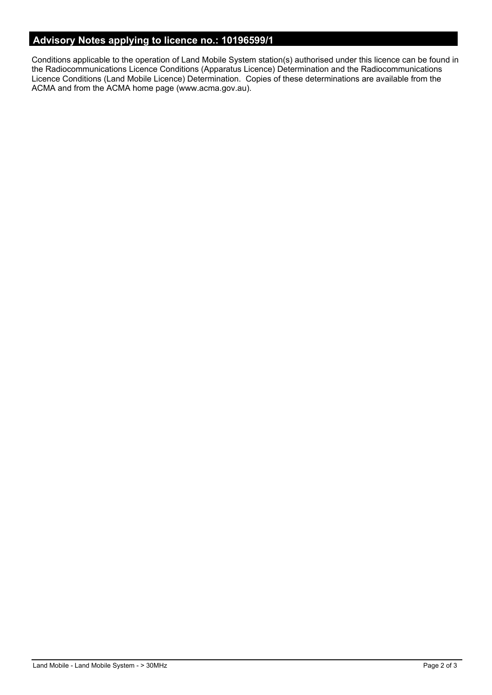# **Advisory Notes applying to licence no.: 10196599/1**

Conditions applicable to the operation of Land Mobile System station(s) authorised under this licence can be found in the Radiocommunications Licence Conditions (Apparatus Licence) Determination and the Radiocommunications Licence Conditions (Land Mobile Licence) Determination. Copies of these determinations are available from the ACMA and from the ACMA home page (www.acma.gov.au).